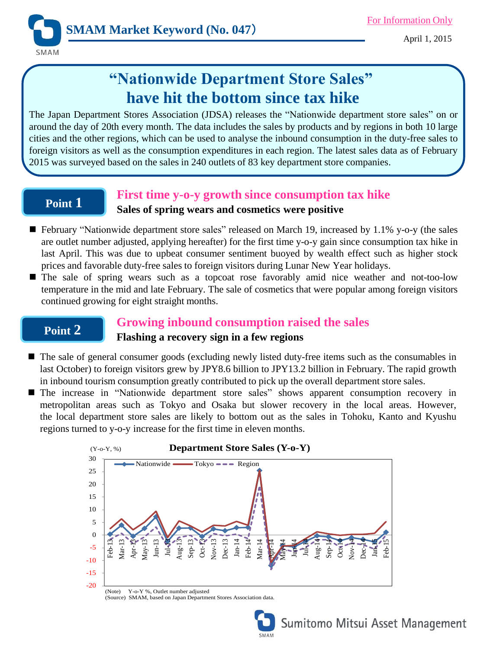April 1, 2015

# **"Nationwide Department Store Sales" have hit the bottom since tax hike**

The Japan Department Stores Association (JDSA) releases the "Nationwide department store sales" on or around the day of 20th every month. The data includes the sales by products and by regions in both 10 large cities and the other regions, which can be used to analyse the inbound consumption in the duty-free sales to foreign visitors as well as the consumption expenditures in each region. The latest sales data as of February 2015 was surveyed based on the sales in 240 outlets of 83 key department store companies.

## **Point 1**

**SMAM** 

### **First time y-o-y growth since consumption tax hike**

### **Sales of spring wears and cosmetics were positive**

- February "Nationwide department store sales" released on March 19, increased by 1.1% y-o-y (the sales are outlet number adjusted, applying hereafter) for the first time y-o-y gain since consumption tax hike in last April. This was due to upbeat consumer sentiment buoyed by wealth effect such as higher stock prices and favorable duty-free sales to foreign visitors during Lunar New Year holidays.
- The sale of spring wears such as a topcoat rose favorably amid nice weather and not-too-low temperature in the mid and late February. The sale of cosmetics that were popular among foreign visitors continued growing for eight straight months.

## **Point 2**

## **Growing inbound consumption raised the sales Flashing a recovery sign in a few regions**

- $\blacksquare$  The sale of general consumer goods (excluding newly listed duty-free items such as the consumables in last October) to foreign visitors grew by JPY8.6 billion to JPY13.2 billion in February. The rapid growth in inbound tourism consumption greatly contributed to pick up the overall department store sales.
- The increase in "Nationwide department store sales" shows apparent consumption recovery in metropolitan areas such as Tokyo and Osaka but slower recovery in the local areas. However, the local department store sales are likely to bottom out as the sales in Tohoku, Kanto and Kyushu regions turned to y-o-y increase for the first time in eleven months.